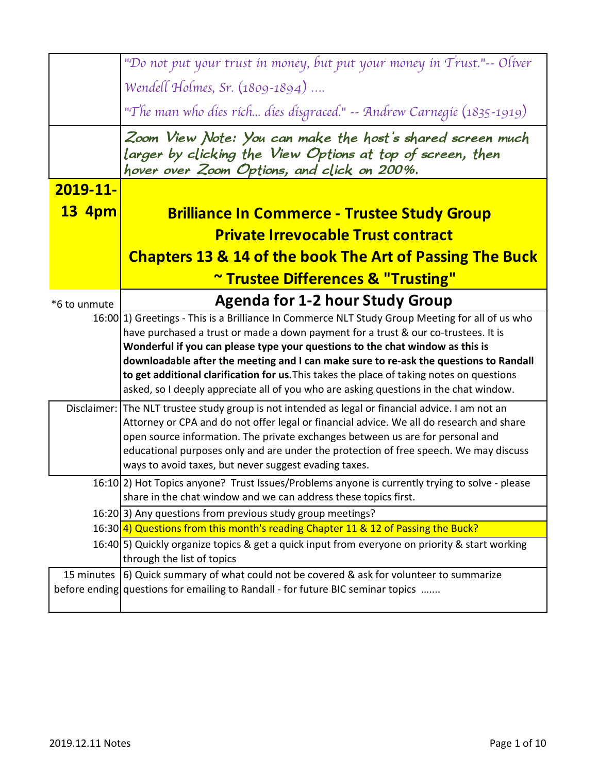|               | "Do not put your trust in money, but put your money in Trust."-- Oliver                                                                                                            |
|---------------|------------------------------------------------------------------------------------------------------------------------------------------------------------------------------------|
|               | Wendell Holmes, Sr. (1809-1894)                                                                                                                                                    |
|               | "The man who dies rich dies disgraced." -- Andrew Carnegie (1835-1919)                                                                                                             |
|               | Zoom View Note: You can make the host's shared screen much<br>larger by clicking the View Options at top of screen, then<br>hover over Zoom Options, and click on 200%.            |
| 2019-11-      |                                                                                                                                                                                    |
| <b>13 4pm</b> | <b>Brilliance In Commerce - Trustee Study Group</b>                                                                                                                                |
|               | <b>Private Irrevocable Trust contract</b>                                                                                                                                          |
|               | <b>Chapters 13 &amp; 14 of the book The Art of Passing The Buck</b>                                                                                                                |
|               | ~ Trustee Differences & "Trusting"                                                                                                                                                 |
|               | <b>Agenda for 1-2 hour Study Group</b>                                                                                                                                             |
| *6 to unmute  | 16:00 [1] Greetings - This is a Brilliance In Commerce NLT Study Group Meeting for all of us who                                                                                   |
|               | have purchased a trust or made a down payment for a trust & our co-trustees. It is                                                                                                 |
|               | Wonderful if you can please type your questions to the chat window as this is                                                                                                      |
|               | downloadable after the meeting and I can make sure to re-ask the questions to Randall                                                                                              |
|               | to get additional clarification for us. This takes the place of taking notes on questions<br>asked, so I deeply appreciate all of you who are asking questions in the chat window. |
|               | Disclaimer: The NLT trustee study group is not intended as legal or financial advice. I am not an                                                                                  |
|               | Attorney or CPA and do not offer legal or financial advice. We all do research and share                                                                                           |
|               | open source information. The private exchanges between us are for personal and                                                                                                     |
|               | educational purposes only and are under the protection of free speech. We may discuss                                                                                              |
|               | ways to avoid taxes, but never suggest evading taxes.                                                                                                                              |
|               | 16:10 [2] Hot Topics anyone? Trust Issues/Problems anyone is currently trying to solve - please<br>share in the chat window and we can address these topics first.                 |
|               | 16:20 3) Any questions from previous study group meetings?                                                                                                                         |
|               | 16:30 <sup> </sup> 4) Questions from this month's reading Chapter 11 & 12 of Passing the Buck?                                                                                     |
|               | 16:40 5) Quickly organize topics & get a quick input from everyone on priority & start working<br>through the list of topics                                                       |
|               | 15 minutes (6) Quick summary of what could not be covered & ask for volunteer to summarize                                                                                         |
|               | before ending questions for emailing to Randall - for future BIC seminar topics                                                                                                    |
|               |                                                                                                                                                                                    |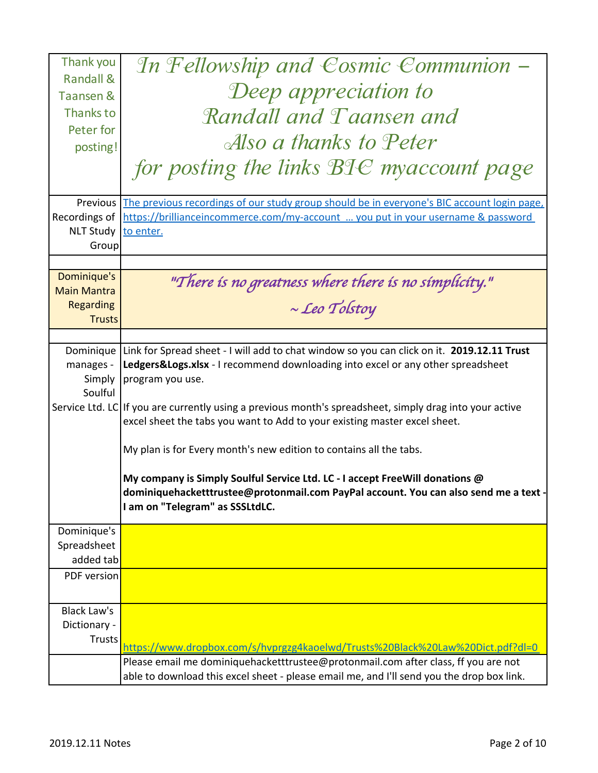| Thank you                         | In Fellowship and Cosmic Communion –                                                                                                                                                                  |
|-----------------------------------|-------------------------------------------------------------------------------------------------------------------------------------------------------------------------------------------------------|
| <b>Randall &amp;</b><br>Taansen & | Deep appreciation to                                                                                                                                                                                  |
| Thanks to                         | Randall and Taansen and                                                                                                                                                                               |
| Peter for                         |                                                                                                                                                                                                       |
| posting!                          | Also a thanks to Peter                                                                                                                                                                                |
|                                   | for posting the links BIC myaccount page                                                                                                                                                              |
| Previous                          | The previous recordings of our study group should be in everyone's BIC account login page,                                                                                                            |
| Recordings of<br><b>NLT Study</b> | https://brillianceincommerce.com/my-account  you put in your username & password                                                                                                                      |
| Group                             | to enter.                                                                                                                                                                                             |
|                                   |                                                                                                                                                                                                       |
| Dominique's                       | "There is no greatness where there is no simplicity."                                                                                                                                                 |
| <b>Main Mantra</b>                |                                                                                                                                                                                                       |
| <b>Regarding</b><br><b>Trusts</b> | $\sim$ Leo Tolstoy                                                                                                                                                                                    |
|                                   |                                                                                                                                                                                                       |
| Dominique                         | Link for Spread sheet - I will add to chat window so you can click on it. 2019.12.11 Trust                                                                                                            |
| manages -                         | Ledgers&Logs.xlsx - I recommend downloading into excel or any other spreadsheet                                                                                                                       |
| Simply<br>Soulful                 | program you use.                                                                                                                                                                                      |
|                                   | Service Ltd. LC If you are currently using a previous month's spreadsheet, simply drag into your active<br>excel sheet the tabs you want to Add to your existing master excel sheet.                  |
|                                   | My plan is for Every month's new edition to contains all the tabs.                                                                                                                                    |
|                                   | My company is Simply Soulful Service Ltd. LC - I accept FreeWill donations @<br>dominiquehacketttrustee@protonmail.com PayPal account. You can also send me a text<br>I am on "Telegram" as SSSLtdLC. |
| Dominique's                       |                                                                                                                                                                                                       |
| Spreadsheet<br>added tab          |                                                                                                                                                                                                       |
| PDF version                       |                                                                                                                                                                                                       |
|                                   |                                                                                                                                                                                                       |
| <b>Black Law's</b>                |                                                                                                                                                                                                       |
| Dictionary -<br><b>Trusts</b>     |                                                                                                                                                                                                       |
|                                   | https://www.dropbox.com/s/hvprgzg4kaoelwd/Trusts%20Black%20Law%20Dict.pdf?dl=0                                                                                                                        |
|                                   | Please email me dominiquehacketttrustee@protonmail.com after class, ff you are not<br>able to download this excel sheet - please email me, and I'll send you the drop box link.                       |
|                                   |                                                                                                                                                                                                       |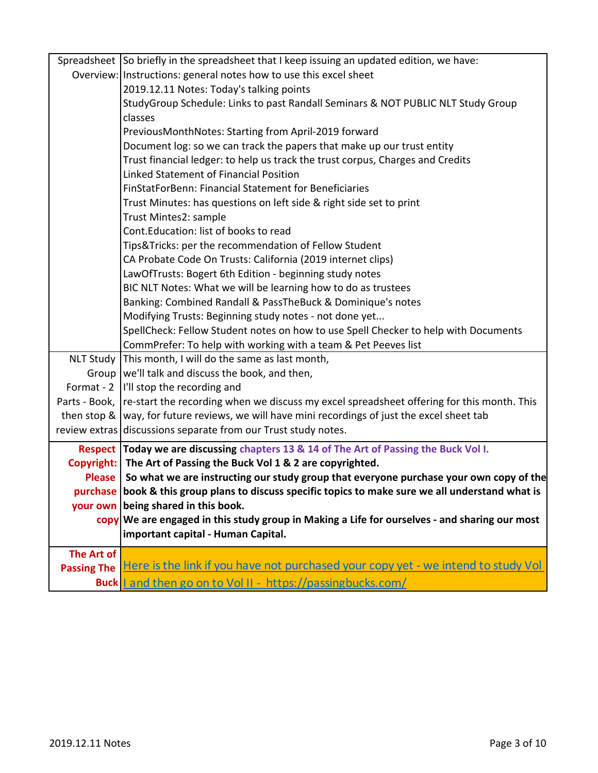|                    | Spreadsheet So briefly in the spreadsheet that I keep issuing an updated edition, we have:                  |
|--------------------|-------------------------------------------------------------------------------------------------------------|
|                    | Overview: Instructions: general notes how to use this excel sheet                                           |
|                    | 2019.12.11 Notes: Today's talking points                                                                    |
|                    | StudyGroup Schedule: Links to past Randall Seminars & NOT PUBLIC NLT Study Group                            |
|                    | classes                                                                                                     |
|                    | PreviousMonthNotes: Starting from April-2019 forward                                                        |
|                    | Document log: so we can track the papers that make up our trust entity                                      |
|                    | Trust financial ledger: to help us track the trust corpus, Charges and Credits                              |
|                    | <b>Linked Statement of Financial Position</b>                                                               |
|                    | FinStatForBenn: Financial Statement for Beneficiaries                                                       |
|                    | Trust Minutes: has questions on left side & right side set to print                                         |
|                    | Trust Mintes2: sample                                                                                       |
|                    | Cont. Education: list of books to read                                                                      |
|                    | Tips&Tricks: per the recommendation of Fellow Student                                                       |
|                    | CA Probate Code On Trusts: California (2019 internet clips)                                                 |
|                    | LawOfTrusts: Bogert 6th Edition - beginning study notes                                                     |
|                    | BIC NLT Notes: What we will be learning how to do as trustees                                               |
|                    | Banking: Combined Randall & PassTheBuck & Dominique's notes                                                 |
|                    | Modifying Trusts: Beginning study notes - not done yet                                                      |
|                    | SpellCheck: Fellow Student notes on how to use Spell Checker to help with Documents                         |
|                    | CommPrefer: To help with working with a team & Pet Peeves list                                              |
|                    | NLT Study This month, I will do the same as last month,                                                     |
|                    | Group   we'll talk and discuss the book, and then,                                                          |
| Format - 2         | I'll stop the recording and                                                                                 |
|                    | Parts - Book,   re-start the recording when we discuss my excel spreadsheet offering for this month. This   |
|                    | then stop & $\vert$ way, for future reviews, we will have mini recordings of just the excel sheet tab       |
|                    | review extras discussions separate from our Trust study notes.                                              |
|                    | Respect Today we are discussing chapters 13 & 14 of The Art of Passing the Buck Vol I.                      |
|                    | Copyright: The Art of Passing the Buck Vol 1 & 2 are copyrighted.                                           |
|                    | Please So what we are instructing our study group that everyone purchase your own copy of the               |
|                    | purchase book & this group plans to discuss specific topics to make sure we all understand what is          |
|                    | your own being shared in this book.                                                                         |
|                    | $\frac{1}{2}$ Copy We are engaged in this study group in Making a Life for ourselves - and sharing our most |
|                    | important capital - Human Capital.                                                                          |
|                    |                                                                                                             |
| <b>The Art of</b>  | Here is the link if you have not purchased your copy yet - we intend to study Vol                           |
| <b>Passing The</b> |                                                                                                             |
|                    | Buck <u>I and then go on to Vol II - https://passingbucks.com/</u>                                          |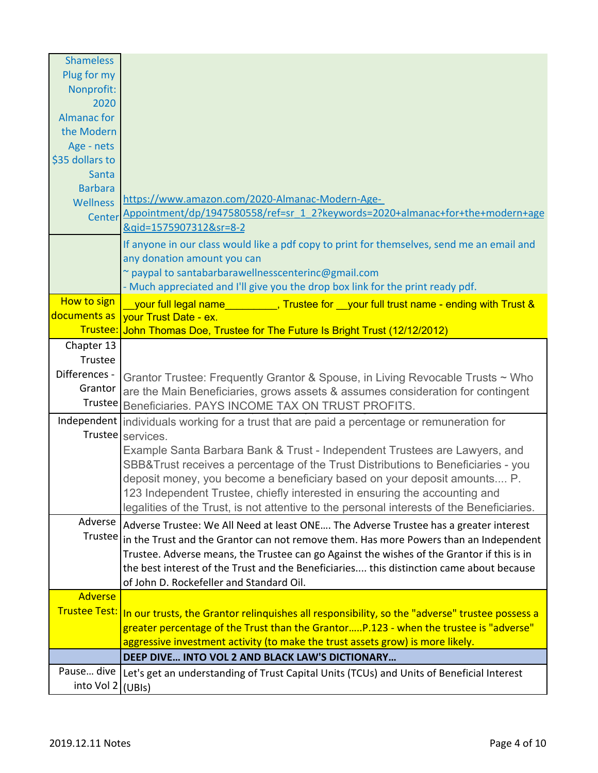| <b>Shameless</b>     |                                                                                                |
|----------------------|------------------------------------------------------------------------------------------------|
| Plug for my          |                                                                                                |
| Nonprofit:           |                                                                                                |
| 2020                 |                                                                                                |
| <b>Almanac</b> for   |                                                                                                |
| the Modern           |                                                                                                |
| Age - nets           |                                                                                                |
| \$35 dollars to      |                                                                                                |
| Santa                |                                                                                                |
| <b>Barbara</b>       |                                                                                                |
| <b>Wellness</b>      | https://www.amazon.com/2020-Almanac-Modern-Age-                                                |
| Center               | Appointment/dp/1947580558/ref=sr 1 2?keywords=2020+almanac+for+the+modern+age                  |
|                      | &qid=1575907312&sr=8-2                                                                         |
|                      | If anyone in our class would like a pdf copy to print for themselves, send me an email and     |
|                      | any donation amount you can                                                                    |
|                      | ~ paypal to santabarbarawellnesscenterinc@gmail.com                                            |
|                      | - Much appreciated and I'll give you the drop box link for the print ready pdf.                |
| <b>How to sign</b>   | your full legal name__________, Trustee for __your full trust name - ending with Trust &       |
| documents as         | vour Trust Date - ex.                                                                          |
|                      | Trustee: John Thomas Doe, Trustee for The Future Is Bright Trust (12/12/2012)                  |
| Chapter 13           |                                                                                                |
| Trustee              |                                                                                                |
| Differences -        | Grantor Trustee: Frequently Grantor & Spouse, in Living Revocable Trusts ~ Who                 |
| Grantor              | are the Main Beneficiaries, grows assets & assumes consideration for contingent                |
|                      | Trustee Beneficiaries. PAYS INCOME TAX ON TRUST PROFITS.                                       |
|                      | Independent individuals working for a trust that are paid a percentage or remuneration for     |
|                      | Trustee services.                                                                              |
|                      | Example Santa Barbara Bank & Trust - Independent Trustees are Lawyers, and                     |
|                      | SBB&Trust receives a percentage of the Trust Distributions to Beneficiaries - you              |
|                      | deposit money, you become a beneficiary based on your deposit amounts P.                       |
|                      | 123 Independent Trustee, chiefly interested in ensuring the accounting and                     |
|                      | legalities of the Trust, is not attentive to the personal interests of the Beneficiaries.      |
| Adverse              | Adverse Trustee: We All Need at least ONE The Adverse Trustee has a greater interest           |
|                      | Trustee in the Trust and the Grantor can not remove them. Has more Powers than an Independent  |
|                      | Trustee. Adverse means, the Trustee can go Against the wishes of the Grantor if this is in     |
|                      | the best interest of the Trust and the Beneficiaries this distinction came about because       |
|                      | of John D. Rockefeller and Standard Oil.                                                       |
| <b>Adverse</b>       |                                                                                                |
| <b>Trustee Test:</b> | In our trusts, the Grantor relinquishes all responsibility, so the "adverse" trustee possess a |
|                      | greater percentage of the Trust than the GrantorP.123 - when the trustee is "adverse"          |
|                      | aggressive investment activity (to make the trust assets grow) is more likely.                 |
|                      | DEEP DIVE INTO VOL 2 AND BLACK LAW'S DICTIONARY                                                |
| Pause dive           |                                                                                                |
|                      | Let's get an understanding of Trust Capital Units (TCUs) and Units of Beneficial Interest      |
| into Vol 2 (UBIs)    |                                                                                                |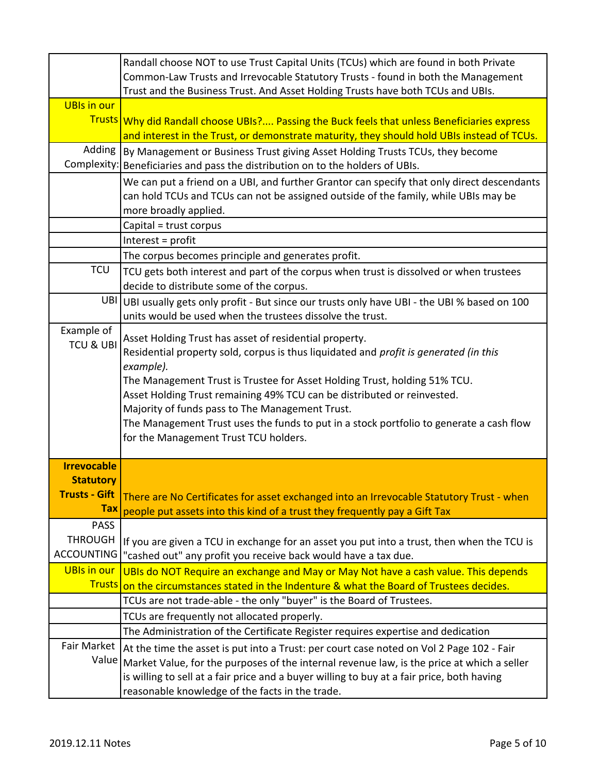|                                                                              | Randall choose NOT to use Trust Capital Units (TCUs) which are found in both Private<br>Common-Law Trusts and Irrevocable Statutory Trusts - found in both the Management                                                                                                                                                                                                                                                                                                                                   |
|------------------------------------------------------------------------------|-------------------------------------------------------------------------------------------------------------------------------------------------------------------------------------------------------------------------------------------------------------------------------------------------------------------------------------------------------------------------------------------------------------------------------------------------------------------------------------------------------------|
|                                                                              | Trust and the Business Trust. And Asset Holding Trusts have both TCUs and UBIs.                                                                                                                                                                                                                                                                                                                                                                                                                             |
| <b>UBIs in our</b>                                                           | Trusts Why did Randall choose UBIs? Passing the Buck feels that unless Beneficiaries express<br>and interest in the Trust, or demonstrate maturity, they should hold UBIs instead of TCUs.                                                                                                                                                                                                                                                                                                                  |
| Adding                                                                       | By Management or Business Trust giving Asset Holding Trusts TCUs, they become                                                                                                                                                                                                                                                                                                                                                                                                                               |
|                                                                              | Complexity: Beneficiaries and pass the distribution on to the holders of UBIs.                                                                                                                                                                                                                                                                                                                                                                                                                              |
|                                                                              | We can put a friend on a UBI, and further Grantor can specify that only direct descendants<br>can hold TCUs and TCUs can not be assigned outside of the family, while UBIs may be<br>more broadly applied.                                                                                                                                                                                                                                                                                                  |
|                                                                              | Capital = trust corpus                                                                                                                                                                                                                                                                                                                                                                                                                                                                                      |
|                                                                              | Interest = profit                                                                                                                                                                                                                                                                                                                                                                                                                                                                                           |
|                                                                              | The corpus becomes principle and generates profit.                                                                                                                                                                                                                                                                                                                                                                                                                                                          |
| <b>TCU</b>                                                                   | TCU gets both interest and part of the corpus when trust is dissolved or when trustees<br>decide to distribute some of the corpus.                                                                                                                                                                                                                                                                                                                                                                          |
|                                                                              | UBI UBI usually gets only profit - But since our trusts only have UBI - the UBI % based on 100<br>units would be used when the trustees dissolve the trust.                                                                                                                                                                                                                                                                                                                                                 |
| Example of<br><b>TCU &amp; UBI</b>                                           | Asset Holding Trust has asset of residential property.<br>Residential property sold, corpus is thus liquidated and profit is generated (in this<br>example).<br>The Management Trust is Trustee for Asset Holding Trust, holding 51% TCU.<br>Asset Holding Trust remaining 49% TCU can be distributed or reinvested.<br>Majority of funds pass to The Management Trust.<br>The Management Trust uses the funds to put in a stock portfolio to generate a cash flow<br>for the Management Trust TCU holders. |
| <b>Irrevocable</b><br><b>Statutory</b><br><b>Trusts - Gift</b><br><b>Tax</b> | There are No Certificates for asset exchanged into an Irrevocable Statutory Trust - when<br>people put assets into this kind of a trust they frequently pay a Gift Tax                                                                                                                                                                                                                                                                                                                                      |
| <b>PASS</b>                                                                  |                                                                                                                                                                                                                                                                                                                                                                                                                                                                                                             |
| <b>THROUGH</b>                                                               | If you are given a TCU in exchange for an asset you put into a trust, then when the TCU is                                                                                                                                                                                                                                                                                                                                                                                                                  |
| <b>ACCOUNTING</b>                                                            | 'cashed out" any profit you receive back would have a tax due.                                                                                                                                                                                                                                                                                                                                                                                                                                              |
| <b>UBIs in our</b>                                                           | UBIs do NOT Require an exchange and May or May Not have a cash value. This depends                                                                                                                                                                                                                                                                                                                                                                                                                          |
| <b>Trusts</b>                                                                | on the circumstances stated in the Indenture & what the Board of Trustees decides.                                                                                                                                                                                                                                                                                                                                                                                                                          |
|                                                                              | TCUs are not trade-able - the only "buyer" is the Board of Trustees.                                                                                                                                                                                                                                                                                                                                                                                                                                        |
|                                                                              | TCUs are frequently not allocated properly.                                                                                                                                                                                                                                                                                                                                                                                                                                                                 |
|                                                                              | The Administration of the Certificate Register requires expertise and dedication                                                                                                                                                                                                                                                                                                                                                                                                                            |
| <b>Fair Market</b><br>Value                                                  | At the time the asset is put into a Trust: per court case noted on Vol 2 Page 102 - Fair<br>Market Value, for the purposes of the internal revenue law, is the price at which a seller<br>is willing to sell at a fair price and a buyer willing to buy at a fair price, both having<br>reasonable knowledge of the facts in the trade.                                                                                                                                                                     |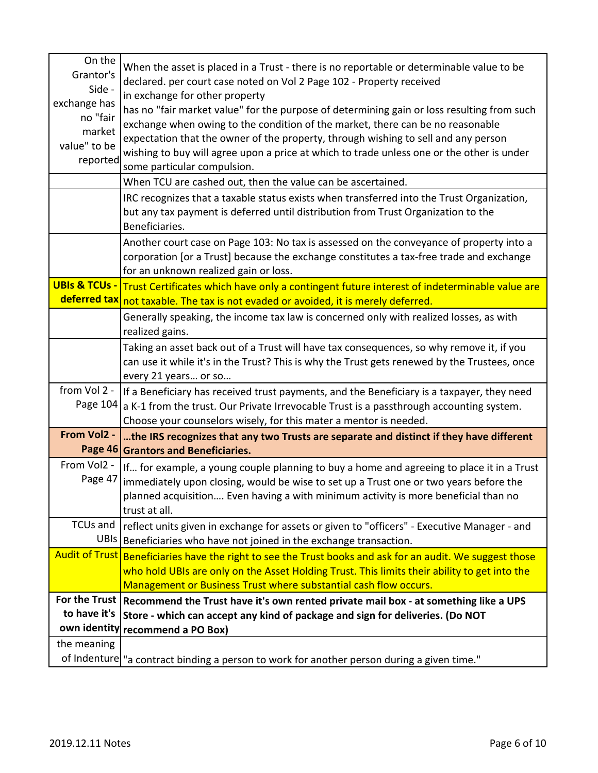| On the<br>Grantor's<br>Side -<br>exchange has<br>no "fair<br>market<br>value" to be<br>reported | When the asset is placed in a Trust - there is no reportable or determinable value to be<br>declared. per court case noted on Vol 2 Page 102 - Property received<br>in exchange for other property<br>has no "fair market value" for the purpose of determining gain or loss resulting from such<br>exchange when owing to the condition of the market, there can be no reasonable<br>expectation that the owner of the property, through wishing to sell and any person<br>wishing to buy will agree upon a price at which to trade unless one or the other is under<br>some particular compulsion. |
|-------------------------------------------------------------------------------------------------|------------------------------------------------------------------------------------------------------------------------------------------------------------------------------------------------------------------------------------------------------------------------------------------------------------------------------------------------------------------------------------------------------------------------------------------------------------------------------------------------------------------------------------------------------------------------------------------------------|
|                                                                                                 | When TCU are cashed out, then the value can be ascertained.                                                                                                                                                                                                                                                                                                                                                                                                                                                                                                                                          |
|                                                                                                 | IRC recognizes that a taxable status exists when transferred into the Trust Organization,<br>but any tax payment is deferred until distribution from Trust Organization to the<br>Beneficiaries.                                                                                                                                                                                                                                                                                                                                                                                                     |
|                                                                                                 | Another court case on Page 103: No tax is assessed on the conveyance of property into a<br>corporation [or a Trust] because the exchange constitutes a tax-free trade and exchange<br>for an unknown realized gain or loss.                                                                                                                                                                                                                                                                                                                                                                          |
| <b>UBIs &amp; TCUs -</b>                                                                        | Trust Certificates which have only a contingent future interest of indeterminable value are<br>deferred tax not taxable. The tax is not evaded or avoided, it is merely deferred.                                                                                                                                                                                                                                                                                                                                                                                                                    |
|                                                                                                 | Generally speaking, the income tax law is concerned only with realized losses, as with<br>realized gains.                                                                                                                                                                                                                                                                                                                                                                                                                                                                                            |
|                                                                                                 | Taking an asset back out of a Trust will have tax consequences, so why remove it, if you<br>can use it while it's in the Trust? This is why the Trust gets renewed by the Trustees, once<br>every 21 years or so                                                                                                                                                                                                                                                                                                                                                                                     |
| from Vol 2 -                                                                                    | If a Beneficiary has received trust payments, and the Beneficiary is a taxpayer, they need<br>Page $104$   a K-1 from the trust. Our Private Irrevocable Trust is a passthrough accounting system.<br>Choose your counselors wisely, for this mater a mentor is needed.                                                                                                                                                                                                                                                                                                                              |
| From Vol2 -                                                                                     | the IRS recognizes that any two Trusts are separate and distinct if they have different<br>Page 46 Grantors and Beneficiaries.                                                                                                                                                                                                                                                                                                                                                                                                                                                                       |
| From Vol2 -<br>Page 47                                                                          | If for example, a young couple planning to buy a home and agreeing to place it in a Trust<br>immediately upon closing, would be wise to set up a Trust one or two years before the<br>planned acquisition Even having a with minimum activity is more beneficial than no<br>trust at all.                                                                                                                                                                                                                                                                                                            |
| TCUs and                                                                                        | reflect units given in exchange for assets or given to "officers" - Executive Manager - and<br>UBIs Beneficiaries who have not joined in the exchange transaction.                                                                                                                                                                                                                                                                                                                                                                                                                                   |
|                                                                                                 | Audit of Trust Beneficiaries have the right to see the Trust books and ask for an audit. We suggest those<br>who hold UBIs are only on the Asset Holding Trust. This limits their ability to get into the<br>Management or Business Trust where substantial cash flow occurs.                                                                                                                                                                                                                                                                                                                        |
|                                                                                                 | For the Trust   Recommend the Trust have it's own rented private mail box - at something like a UPS                                                                                                                                                                                                                                                                                                                                                                                                                                                                                                  |
| to have it's                                                                                    | Store - which can accept any kind of package and sign for deliveries. (Do NOT                                                                                                                                                                                                                                                                                                                                                                                                                                                                                                                        |
|                                                                                                 | own identity recommend a PO Box)                                                                                                                                                                                                                                                                                                                                                                                                                                                                                                                                                                     |
| the meaning                                                                                     |                                                                                                                                                                                                                                                                                                                                                                                                                                                                                                                                                                                                      |
|                                                                                                 | of Indenture   "a contract binding a person to work for another person during a given time."                                                                                                                                                                                                                                                                                                                                                                                                                                                                                                         |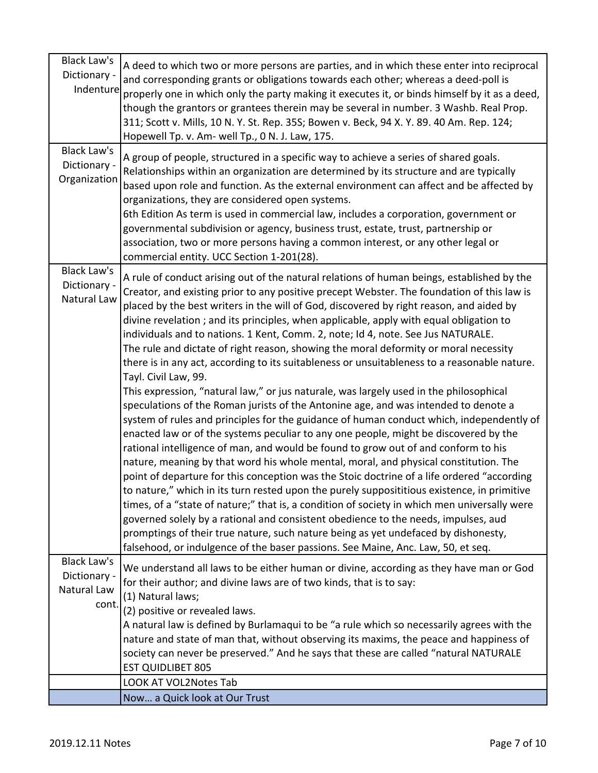| <b>Black Law's</b><br>Dictionary -<br>Indenture            | A deed to which two or more persons are parties, and in which these enter into reciprocal<br>and corresponding grants or obligations towards each other; whereas a deed-poll is<br>properly one in which only the party making it executes it, or binds himself by it as a deed,<br>though the grantors or grantees therein may be several in number. 3 Washb. Real Prop.<br>311; Scott v. Mills, 10 N. Y. St. Rep. 35S; Bowen v. Beck, 94 X. Y. 89. 40 Am. Rep. 124;<br>Hopewell Tp. v. Am- well Tp., 0 N. J. Law, 175.                                                                                                                                                                                                                                                                                                                                                                                                                                                                                                                                                                                                                                                                                                                                                                                                                                                                                                                                                                                                                                                                                                                                                                                                                                                                          |
|------------------------------------------------------------|---------------------------------------------------------------------------------------------------------------------------------------------------------------------------------------------------------------------------------------------------------------------------------------------------------------------------------------------------------------------------------------------------------------------------------------------------------------------------------------------------------------------------------------------------------------------------------------------------------------------------------------------------------------------------------------------------------------------------------------------------------------------------------------------------------------------------------------------------------------------------------------------------------------------------------------------------------------------------------------------------------------------------------------------------------------------------------------------------------------------------------------------------------------------------------------------------------------------------------------------------------------------------------------------------------------------------------------------------------------------------------------------------------------------------------------------------------------------------------------------------------------------------------------------------------------------------------------------------------------------------------------------------------------------------------------------------------------------------------------------------------------------------------------------------|
| <b>Black Law's</b><br>Dictionary -<br>Organization         | A group of people, structured in a specific way to achieve a series of shared goals.<br>Relationships within an organization are determined by its structure and are typically<br>based upon role and function. As the external environment can affect and be affected by<br>organizations, they are considered open systems.<br>6th Edition As term is used in commercial law, includes a corporation, government or<br>governmental subdivision or agency, business trust, estate, trust, partnership or<br>association, two or more persons having a common interest, or any other legal or<br>commercial entity. UCC Section 1-201(28).                                                                                                                                                                                                                                                                                                                                                                                                                                                                                                                                                                                                                                                                                                                                                                                                                                                                                                                                                                                                                                                                                                                                                       |
| <b>Black Law's</b><br>Dictionary -<br>Natural Law          | A rule of conduct arising out of the natural relations of human beings, established by the<br>Creator, and existing prior to any positive precept Webster. The foundation of this law is<br>placed by the best writers in the will of God, discovered by right reason, and aided by<br>divine revelation; and its principles, when applicable, apply with equal obligation to<br>individuals and to nations. 1 Kent, Comm. 2, note; Id 4, note. See Jus NATURALE.<br>The rule and dictate of right reason, showing the moral deformity or moral necessity<br>there is in any act, according to its suitableness or unsuitableness to a reasonable nature.<br>Tayl. Civil Law, 99.<br>This expression, "natural law," or jus naturale, was largely used in the philosophical<br>speculations of the Roman jurists of the Antonine age, and was intended to denote a<br>system of rules and principles for the guidance of human conduct which, independently of<br>enacted law or of the systems peculiar to any one people, might be discovered by the<br>rational intelligence of man, and would be found to grow out of and conform to his<br>nature, meaning by that word his whole mental, moral, and physical constitution. The<br>point of departure for this conception was the Stoic doctrine of a life ordered "according<br>to nature," which in its turn rested upon the purely supposititious existence, in primitive<br>times, of a "state of nature;" that is, a condition of society in which men universally were<br>governed solely by a rational and consistent obedience to the needs, impulses, aud<br>promptings of their true nature, such nature being as yet undefaced by dishonesty,<br>falsehood, or indulgence of the baser passions. See Maine, Anc. Law, 50, et seq. |
| <b>Black Law's</b><br>Dictionary -<br>Natural Law<br>cont. | We understand all laws to be either human or divine, according as they have man or God<br>for their author; and divine laws are of two kinds, that is to say:<br>(1) Natural laws;<br>(2) positive or revealed laws.                                                                                                                                                                                                                                                                                                                                                                                                                                                                                                                                                                                                                                                                                                                                                                                                                                                                                                                                                                                                                                                                                                                                                                                                                                                                                                                                                                                                                                                                                                                                                                              |
|                                                            | A natural law is defined by Burlamaqui to be "a rule which so necessarily agrees with the<br>nature and state of man that, without observing its maxims, the peace and happiness of<br>society can never be preserved." And he says that these are called "natural NATURALE<br><b>EST QUIDLIBET 805</b>                                                                                                                                                                                                                                                                                                                                                                                                                                                                                                                                                                                                                                                                                                                                                                                                                                                                                                                                                                                                                                                                                                                                                                                                                                                                                                                                                                                                                                                                                           |
|                                                            | LOOK AT VOL2Notes Tab                                                                                                                                                                                                                                                                                                                                                                                                                                                                                                                                                                                                                                                                                                                                                                                                                                                                                                                                                                                                                                                                                                                                                                                                                                                                                                                                                                                                                                                                                                                                                                                                                                                                                                                                                                             |
|                                                            | Now a Quick look at Our Trust                                                                                                                                                                                                                                                                                                                                                                                                                                                                                                                                                                                                                                                                                                                                                                                                                                                                                                                                                                                                                                                                                                                                                                                                                                                                                                                                                                                                                                                                                                                                                                                                                                                                                                                                                                     |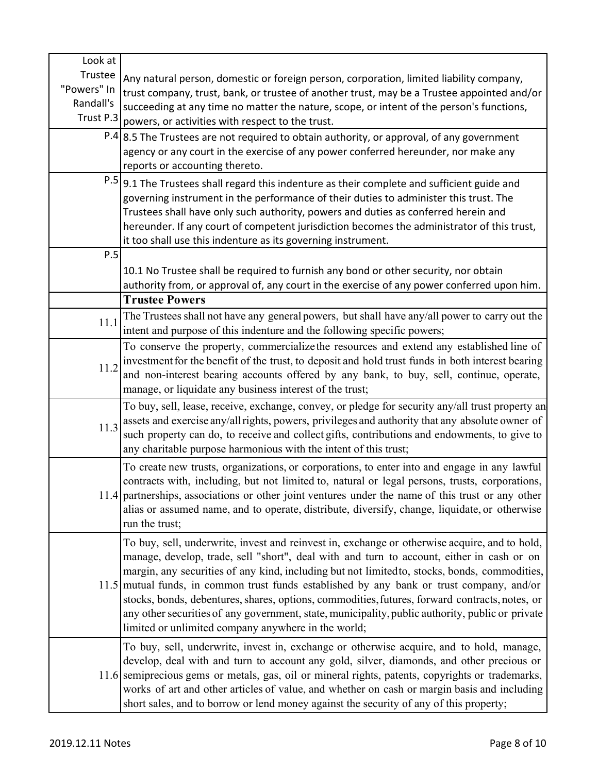| Look at     |                                                                                                   |
|-------------|---------------------------------------------------------------------------------------------------|
| Trustee     | Any natural person, domestic or foreign person, corporation, limited liability company,           |
| "Powers" In | trust company, trust, bank, or trustee of another trust, may be a Trustee appointed and/or        |
| Randall's   | succeeding at any time no matter the nature, scope, or intent of the person's functions,          |
| Trust P.3   | powers, or activities with respect to the trust.                                                  |
|             | $P.4$ 8.5 The Trustees are not required to obtain authority, or approval, of any government       |
|             | agency or any court in the exercise of any power conferred hereunder, nor make any                |
|             | reports or accounting thereto.                                                                    |
|             | $P.5$ 9.1 The Trustees shall regard this indenture as their complete and sufficient guide and     |
|             | governing instrument in the performance of their duties to administer this trust. The             |
|             | Trustees shall have only such authority, powers and duties as conferred herein and                |
|             | hereunder. If any court of competent jurisdiction becomes the administrator of this trust,        |
|             | it too shall use this indenture as its governing instrument.                                      |
| P.5         |                                                                                                   |
|             | 10.1 No Trustee shall be required to furnish any bond or other security, nor obtain               |
|             | authority from, or approval of, any court in the exercise of any power conferred upon him.        |
|             | <b>Trustee Powers</b>                                                                             |
|             | The Trustees shall not have any general powers, but shall have any/all power to carry out the     |
| 11.1        | intent and purpose of this indenture and the following specific powers;                           |
|             | To conserve the property, commercialize the resources and extend any established line of          |
|             | investment for the benefit of the trust, to deposit and hold trust funds in both interest bearing |
| 11.2        | and non-interest bearing accounts offered by any bank, to buy, sell, continue, operate,           |
|             | manage, or liquidate any business interest of the trust;                                          |
|             | To buy, sell, lease, receive, exchange, convey, or pledge for security any/all trust property an  |
|             | assets and exercise any/allrights, powers, privileges and authority that any absolute owner of    |
| 11.3        | such property can do, to receive and collect gifts, contributions and endowments, to give to      |
|             | any charitable purpose harmonious with the intent of this trust;                                  |
|             | To create new trusts, organizations, or corporations, to enter into and engage in any lawful      |
|             | contracts with, including, but not limited to, natural or legal persons, trusts, corporations,    |
|             | 11.4 partnerships, associations or other joint ventures under the name of this trust or any other |
|             | alias or assumed name, and to operate, distribute, diversify, change, liquidate, or otherwise     |
|             | run the trust;                                                                                    |
|             | To buy, sell, underwrite, invest and reinvest in, exchange or otherwise acquire, and to hold,     |
|             | manage, develop, trade, sell "short", deal with and turn to account, either in cash or on         |
|             | margin, any securities of any kind, including but not limited to, stocks, bonds, commodities,     |
|             | 11.5 mutual funds, in common trust funds established by any bank or trust company, and/or         |
|             | stocks, bonds, debentures, shares, options, commodities, futures, forward contracts, notes, or    |
|             | any other securities of any government, state, municipality, public authority, public or private  |
|             | limited or unlimited company anywhere in the world;                                               |
|             | To buy, sell, underwrite, invest in, exchange or otherwise acquire, and to hold, manage,          |
|             | develop, deal with and turn to account any gold, silver, diamonds, and other precious or          |
|             | 11.6 semiprecious gems or metals, gas, oil or mineral rights, patents, copyrights or trademarks,  |
|             | works of art and other articles of value, and whether on cash or margin basis and including       |
|             | short sales, and to borrow or lend money against the security of any of this property;            |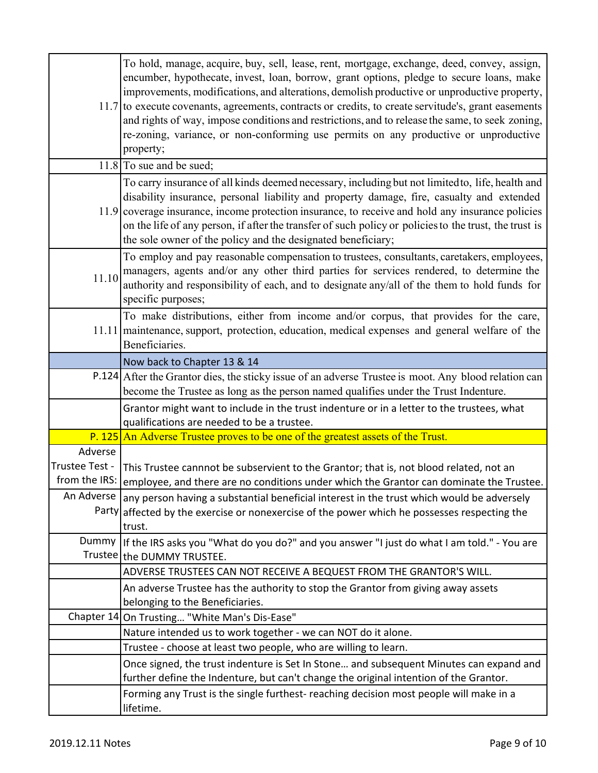|                | To hold, manage, acquire, buy, sell, lease, rent, mortgage, exchange, deed, convey, assign,<br>encumber, hypothecate, invest, loan, borrow, grant options, pledge to secure loans, make<br>improvements, modifications, and alterations, demolish productive or unproductive property,<br>11.7 to execute covenants, agreements, contracts or credits, to create servitude's, grant easements<br>and rights of way, impose conditions and restrictions, and to release the same, to seek zoning,<br>re-zoning, variance, or non-conforming use permits on any productive or unproductive<br>property; |
|----------------|-------------------------------------------------------------------------------------------------------------------------------------------------------------------------------------------------------------------------------------------------------------------------------------------------------------------------------------------------------------------------------------------------------------------------------------------------------------------------------------------------------------------------------------------------------------------------------------------------------|
|                | $11.8$ To sue and be sued;                                                                                                                                                                                                                                                                                                                                                                                                                                                                                                                                                                            |
|                | To carry insurance of all kinds deemed necessary, including but not limited to, life, health and<br>disability insurance, personal liability and property damage, fire, casualty and extended<br>11.9 coverage insurance, income protection insurance, to receive and hold any insurance policies<br>on the life of any person, if after the transfer of such policy or policies to the trust, the trust is<br>the sole owner of the policy and the designated beneficiary;                                                                                                                           |
| 11.10          | To employ and pay reasonable compensation to trustees, consultants, caretakers, employees,<br>managers, agents and/or any other third parties for services rendered, to determine the<br>authority and responsibility of each, and to designate any/all of the them to hold funds for<br>specific purposes;                                                                                                                                                                                                                                                                                           |
|                | To make distributions, either from income and/or corpus, that provides for the care,<br>11.11 maintenance, support, protection, education, medical expenses and general welfare of the<br>Beneficiaries.                                                                                                                                                                                                                                                                                                                                                                                              |
|                | Now back to Chapter 13 & 14                                                                                                                                                                                                                                                                                                                                                                                                                                                                                                                                                                           |
|                | P.124 After the Grantor dies, the sticky issue of an adverse Trustee is moot. Any blood relation can<br>become the Trustee as long as the person named qualifies under the Trust Indenture.                                                                                                                                                                                                                                                                                                                                                                                                           |
|                | Grantor might want to include in the trust indenture or in a letter to the trustees, what<br>qualifications are needed to be a trustee.                                                                                                                                                                                                                                                                                                                                                                                                                                                               |
|                | P. 125 An Adverse Trustee proves to be one of the greatest assets of the Trust.                                                                                                                                                                                                                                                                                                                                                                                                                                                                                                                       |
| Adverse        |                                                                                                                                                                                                                                                                                                                                                                                                                                                                                                                                                                                                       |
| Trustee Test - | This Trustee cannnot be subservient to the Grantor; that is, not blood related, not an                                                                                                                                                                                                                                                                                                                                                                                                                                                                                                                |
| from the IRS:  | employee, and there are no conditions under which the Grantor can dominate the Trustee.                                                                                                                                                                                                                                                                                                                                                                                                                                                                                                               |
|                | An Adverse   any person having a substantial beneficial interest in the trust which would be adversely<br>Party affected by the exercise or nonexercise of the power which he possesses respecting the<br>trust.                                                                                                                                                                                                                                                                                                                                                                                      |
| Dummy          | If the IRS asks you "What do you do?" and you answer "I just do what I am told." - You are<br>Trustee the DUMMY TRUSTEE.                                                                                                                                                                                                                                                                                                                                                                                                                                                                              |
|                | ADVERSE TRUSTEES CAN NOT RECEIVE A BEQUEST FROM THE GRANTOR'S WILL.                                                                                                                                                                                                                                                                                                                                                                                                                                                                                                                                   |
|                | An adverse Trustee has the authority to stop the Grantor from giving away assets<br>belonging to the Beneficiaries.                                                                                                                                                                                                                                                                                                                                                                                                                                                                                   |
|                | Chapter 14 On Trusting "White Man's Dis-Ease"                                                                                                                                                                                                                                                                                                                                                                                                                                                                                                                                                         |
|                | Nature intended us to work together - we can NOT do it alone.                                                                                                                                                                                                                                                                                                                                                                                                                                                                                                                                         |
|                | Trustee - choose at least two people, who are willing to learn.                                                                                                                                                                                                                                                                                                                                                                                                                                                                                                                                       |
|                | Once signed, the trust indenture is Set In Stone and subsequent Minutes can expand and                                                                                                                                                                                                                                                                                                                                                                                                                                                                                                                |
|                | further define the Indenture, but can't change the original intention of the Grantor.<br>Forming any Trust is the single furthest- reaching decision most people will make in a<br>lifetime.                                                                                                                                                                                                                                                                                                                                                                                                          |